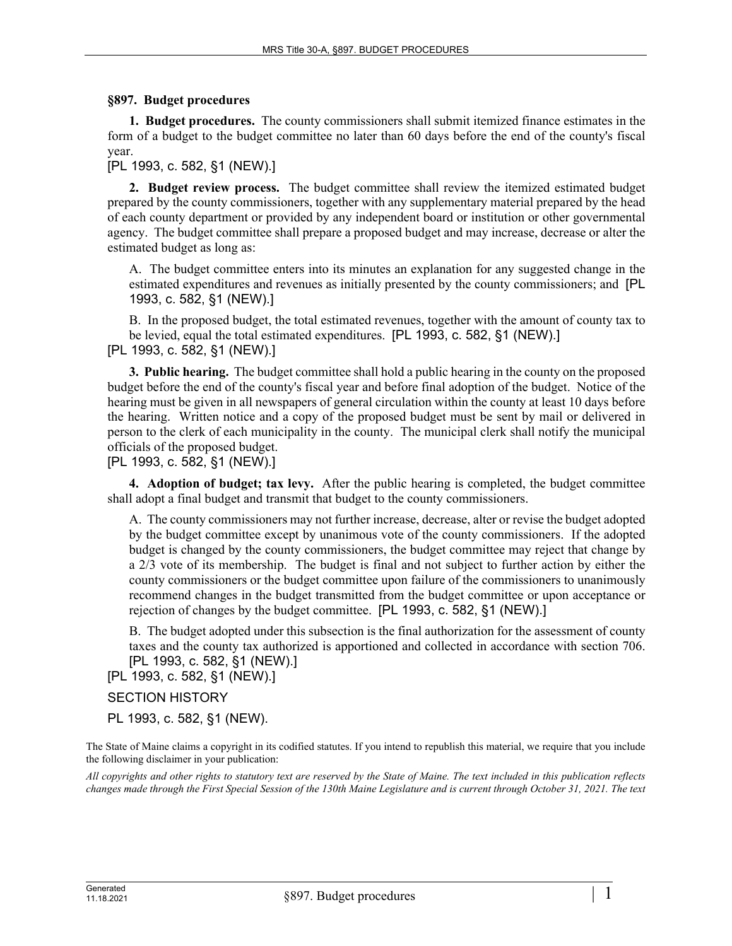## **§897. Budget procedures**

**1. Budget procedures.** The county commissioners shall submit itemized finance estimates in the form of a budget to the budget committee no later than 60 days before the end of the county's fiscal year.

[PL 1993, c. 582, §1 (NEW).]

**2. Budget review process.** The budget committee shall review the itemized estimated budget prepared by the county commissioners, together with any supplementary material prepared by the head of each county department or provided by any independent board or institution or other governmental agency. The budget committee shall prepare a proposed budget and may increase, decrease or alter the estimated budget as long as:

A. The budget committee enters into its minutes an explanation for any suggested change in the estimated expenditures and revenues as initially presented by the county commissioners; and [PL 1993, c. 582, §1 (NEW).]

B. In the proposed budget, the total estimated revenues, together with the amount of county tax to be levied, equal the total estimated expenditures. [PL 1993, c. 582, §1 (NEW).]

[PL 1993, c. 582, §1 (NEW).]

**3. Public hearing.** The budget committee shall hold a public hearing in the county on the proposed budget before the end of the county's fiscal year and before final adoption of the budget. Notice of the hearing must be given in all newspapers of general circulation within the county at least 10 days before the hearing. Written notice and a copy of the proposed budget must be sent by mail or delivered in person to the clerk of each municipality in the county. The municipal clerk shall notify the municipal officials of the proposed budget.

[PL 1993, c. 582, §1 (NEW).]

**4. Adoption of budget; tax levy.** After the public hearing is completed, the budget committee shall adopt a final budget and transmit that budget to the county commissioners.

A. The county commissioners may not further increase, decrease, alter or revise the budget adopted by the budget committee except by unanimous vote of the county commissioners. If the adopted budget is changed by the county commissioners, the budget committee may reject that change by a 2/3 vote of its membership. The budget is final and not subject to further action by either the county commissioners or the budget committee upon failure of the commissioners to unanimously recommend changes in the budget transmitted from the budget committee or upon acceptance or rejection of changes by the budget committee. [PL 1993, c. 582, §1 (NEW).]

B. The budget adopted under this subsection is the final authorization for the assessment of county taxes and the county tax authorized is apportioned and collected in accordance with section 706. [PL 1993, c. 582, §1 (NEW).]

[PL 1993, c. 582, §1 (NEW).]

SECTION HISTORY

PL 1993, c. 582, §1 (NEW).

The State of Maine claims a copyright in its codified statutes. If you intend to republish this material, we require that you include the following disclaimer in your publication:

*All copyrights and other rights to statutory text are reserved by the State of Maine. The text included in this publication reflects changes made through the First Special Session of the 130th Maine Legislature and is current through October 31, 2021. The text*